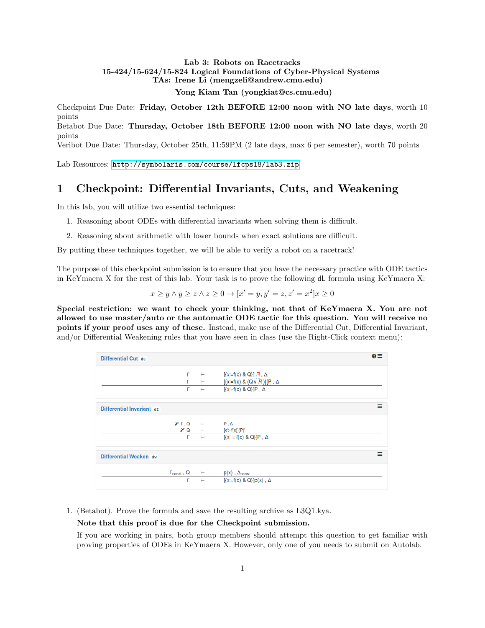#### Lab 3: Robots on Racetracks 15-424/15-624/15-824 Logical Foundations of Cyber-Physical Systems TAs: Irene Li (mengzeli@andrew.cmu.edu) Yong Kiam Tan (yongkiat@cs.cmu.edu)

Checkpoint Due Date: Friday, October 12th BEFORE 12:00 noon with NO late days, worth 10 points Betabot Due Date: Thursday, October 18th BEFORE 12:00 noon with NO late days, worth 20

points

Veribot Due Date: Thursday, October 25th, 11:59PM (2 late days, max 6 per semester), worth 70 points

Lab Resources: <http://symbolaris.com/course/lfcps18/lab3.zip>

# 1 Checkpoint: Differential Invariants, Cuts, and Weakening

In this lab, you will utilize two essential techniques:

- 1. Reasoning about ODEs with differential invariants when solving them is difficult.
- 2. Reasoning about arithmetic with lower bounds when exact solutions are difficult.

By putting these techniques together, we will be able to verify a robot on a racetrack!

The purpose of this checkpoint submission is to ensure that you have the necessary practice with ODE tactics in KeYmaera X for the rest of this lab. Your task is to prove the following dL formula using KeYmaera X:

$$
x \ge y \land y \ge z \land z \ge 0 \to [x' = y, y' = z, z' = x^2]x \ge 0
$$

Special restriction: we want to check your thinking, not that of KeYmaera X. You are not allowed to use master/auto or the automatic ODE tactic for this question. You will receive no points if your proof uses any of these. Instead, make use of the Differential Cut, Differential Invariant, and/or Differential Weakening rules that you have seen in class (use the Right-Click context menu):

| Differential Cut dc       |                                                                |                                                                             | $\bullet \equiv$ |
|---------------------------|----------------------------------------------------------------|-----------------------------------------------------------------------------|------------------|
|                           |                                                                | $\Gamma$ $\vdash$ $[\{x' = f(x) \& Q\}]$ $\vdash$ $\land$                   |                  |
|                           |                                                                | $\Gamma$ $\vdash$ $[\{x' = f(x) \& (Q \land R)\}]$ P, $\Delta$              |                  |
|                           |                                                                | $\Gamma$ $\vdash$ $[\{x' = f(x) \& Q\}]P$ , $\Delta$                        |                  |
| Differential Invariant dr |                                                                |                                                                             | Ξ                |
|                           | $\mathscr{V} \Gamma, Q \quad \vdash \qquad \mathsf{P}, \Delta$ |                                                                             |                  |
|                           |                                                                | $X Q \rightarrow [X':=f(X)](P)'$                                            |                  |
|                           |                                                                | $\Gamma$ $\vdash$ $[\{x' = f(x) \& Q\}]P, \Delta$                           |                  |
| Differential Weaken dw    |                                                                |                                                                             | ≡                |
|                           |                                                                | $\Gamma_{\text{const}}$ , Q $\quad \vdash$ $p(x)$ , $\Delta_{\text{const}}$ |                  |
|                           | г                                                              | $\vdash$ $[\{x' = f(x) \& Q\}]p(x), \Delta$                                 |                  |

1. (Betabot). Prove the formula and save the resulting archive as L3Q1.kya.

#### Note that this proof is due for the Checkpoint submission.

If you are working in pairs, both group members should attempt this question to get familiar with proving properties of ODEs in KeYmaera X. However, only one of you needs to submit on Autolab.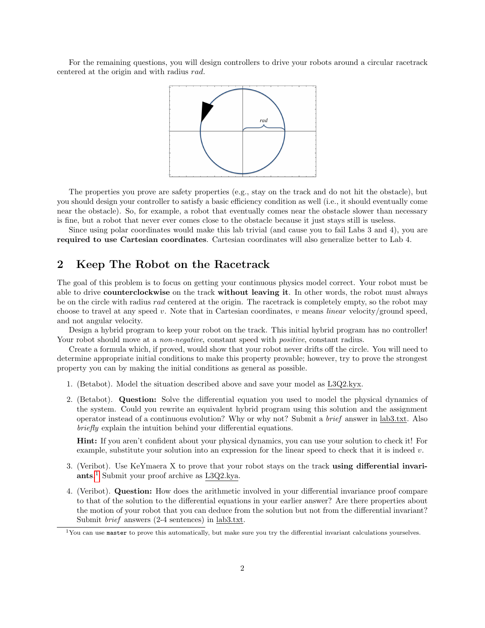For the remaining questions, you will design controllers to drive your robots around a circular racetrack centered at the origin and with radius rad.



The properties you prove are safety properties (e.g., stay on the track and do not hit the obstacle), but you should design your controller to satisfy a basic efficiency condition as well (i.e., it should eventually come near the obstacle). So, for example, a robot that eventually comes near the obstacle slower than necessary is fine, but a robot that never ever comes close to the obstacle because it just stays still is useless.

Since using polar coordinates would make this lab trivial (and cause you to fail Labs 3 and 4), you are required to use Cartesian coordinates. Cartesian coordinates will also generalize better to Lab 4.

## 2 Keep The Robot on the Racetrack

The goal of this problem is to focus on getting your continuous physics model correct. Your robot must be able to drive **counterclockwise** on the track **without leaving it**. In other words, the robot must always be on the circle with radius rad centered at the origin. The racetrack is completely empty, so the robot may choose to travel at any speed v. Note that in Cartesian coordinates, v means *linear* velocity/ground speed, and not angular velocity.

Design a hybrid program to keep your robot on the track. This initial hybrid program has no controller! Your robot should move at a *non-negative*, constant speed with *positive*, constant radius.

Create a formula which, if proved, would show that your robot never drifts off the circle. You will need to determine appropriate initial conditions to make this property provable; however, try to prove the strongest property you can by making the initial conditions as general as possible.

- 1. (Betabot). Model the situation described above and save your model as L3Q2.kyx.
- 2. (Betabot). Question: Solve the differential equation you used to model the physical dynamics of the system. Could you rewrite an equivalent hybrid program using this solution and the assignment operator instead of a continuous evolution? Why or why not? Submit a brief answer in lab3.txt. Also briefly explain the intuition behind your differential equations.

Hint: If you aren't confident about your physical dynamics, you can use your solution to check it! For example, substitute your solution into an expression for the linear speed to check that it is indeed  $v$ .

- 3. (Veribot). Use KeYmaera X to prove that your robot stays on the track using differential invariants. [1](#page-1-0) Submit your proof archive as L3Q2.kya.
- 4. (Veribot). Question: How does the arithmetic involved in your differential invariance proof compare to that of the solution to the differential equations in your earlier answer? Are there properties about the motion of your robot that you can deduce from the solution but not from the differential invariant? Submit brief answers (2-4 sentences) in lab3.txt.

<span id="page-1-0"></span> $1$ You can use master to prove this automatically, but make sure you try the differential invariant calculations yourselves.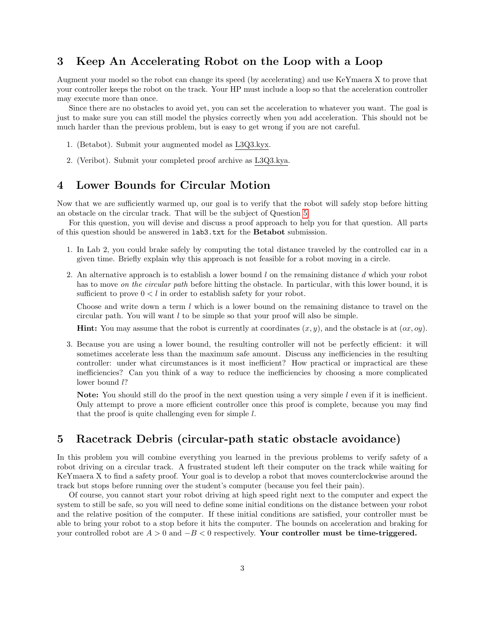# 3 Keep An Accelerating Robot on the Loop with a Loop

Augment your model so the robot can change its speed (by accelerating) and use KeYmaera X to prove that your controller keeps the robot on the track. Your HP must include a loop so that the acceleration controller may execute more than once.

Since there are no obstacles to avoid yet, you can set the acceleration to whatever you want. The goal is just to make sure you can still model the physics correctly when you add acceleration. This should not be much harder than the previous problem, but is easy to get wrong if you are not careful.

- 1. (Betabot). Submit your augmented model as L3Q3.kyx.
- 2. (Veribot). Submit your completed proof archive as L3Q3.kya.

#### 4 Lower Bounds for Circular Motion

Now that we are sufficiently warmed up, our goal is to verify that the robot will safely stop before hitting an obstacle on the circular track. That will be the subject of Question [5.](#page-2-0)

For this question, you will devise and discuss a proof approach to help you for that question. All parts of this question should be answered in lab3.txt for the Betabot submission.

- 1. In Lab 2, you could brake safely by computing the total distance traveled by the controlled car in a given time. Briefly explain why this approach is not feasible for a robot moving in a circle.
- 2. An alternative approach is to establish a lower bound  $l$  on the remaining distance  $d$  which your robot has to move on the circular path before hitting the obstacle. In particular, with this lower bound, it is sufficient to prove  $0 < l$  in order to establish safety for your robot.

Choose and write down a term  $l$  which is a lower bound on the remaining distance to travel on the circular path. You will want l to be simple so that your proof will also be simple.

**Hint:** You may assume that the robot is currently at coordinates  $(x, y)$ , and the obstacle is at  $(ox, oy)$ .

3. Because you are using a lower bound, the resulting controller will not be perfectly efficient: it will sometimes accelerate less than the maximum safe amount. Discuss any inefficiencies in the resulting controller: under what circumstances is it most inefficient? How practical or impractical are these inefficiencies? Can you think of a way to reduce the inefficiencies by choosing a more complicated lower bound  $l$ ?

Note: You should still do the proof in the next question using a very simple l even if it is inefficient. Only attempt to prove a more efficient controller once this proof is complete, because you may find that the proof is quite challenging even for simple l.

## <span id="page-2-0"></span>5 Racetrack Debris (circular-path static obstacle avoidance)

In this problem you will combine everything you learned in the previous problems to verify safety of a robot driving on a circular track. A frustrated student left their computer on the track while waiting for KeYmaera X to find a safety proof. Your goal is to develop a robot that moves counterclockwise around the track but stops before running over the student's computer (because you feel their pain).

Of course, you cannot start your robot driving at high speed right next to the computer and expect the system to still be safe, so you will need to define some initial conditions on the distance between your robot and the relative position of the computer. If these initial conditions are satisfied, your controller must be able to bring your robot to a stop before it hits the computer. The bounds on acceleration and braking for your controlled robot are  $A > 0$  and  $-B < 0$  respectively. Your controller must be time-triggered.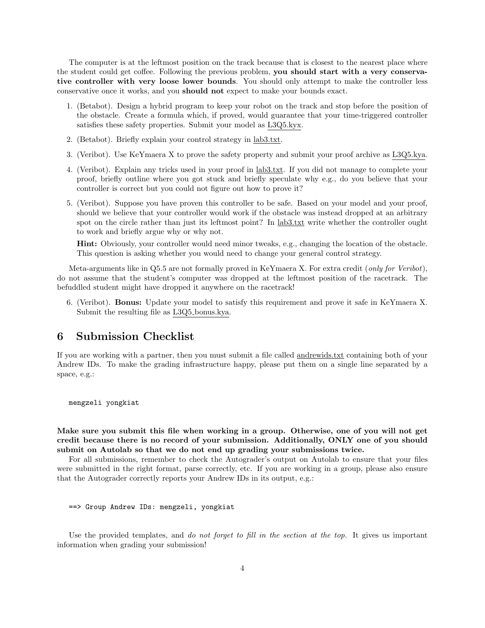The computer is at the leftmost position on the track because that is closest to the nearest place where the student could get coffee. Following the previous problem, you should start with a very conservative controller with very loose lower bounds. You should only attempt to make the controller less conservative once it works, and you should not expect to make your bounds exact.

- 1. (Betabot). Design a hybrid program to keep your robot on the track and stop before the position of the obstacle. Create a formula which, if proved, would guarantee that your time-triggered controller satisfies these safety properties. Submit your model as L3Q5.kyx.
- 2. (Betabot). Briefly explain your control strategy in lab3.txt.
- 3. (Veribot). Use KeYmaera X to prove the safety property and submit your proof archive as L3Q5.kya.
- 4. (Veribot). Explain any tricks used in your proof in lab3.txt. If you did not manage to complete your proof, briefly outline where you got stuck and briefly speculate why e.g., do you believe that your controller is correct but you could not figure out how to prove it?
- 5. (Veribot). Suppose you have proven this controller to be safe. Based on your model and your proof, should we believe that your controller would work if the obstacle was instead dropped at an arbitrary spot on the circle rather than just its leftmost point? In lab<sub>3</sub>.txt write whether the controller ought to work and briefly argue why or why not.

Hint: Obviously, your controller would need minor tweaks, e.g., changing the location of the obstacle. This question is asking whether you would need to change your general control strategy.

Meta-arguments like in Q5.5 are not formally proved in KeYmaera X. For extra credit (only for Veribot), do not assume that the student's computer was dropped at the leftmost position of the racetrack. The befuddled student might have dropped it anywhere on the racetrack!

6. (Veribot). Bonus: Update your model to satisfy this requirement and prove it safe in KeYmaera X. Submit the resulting file as L3Q5 bonus.kya.

# 6 Submission Checklist

If you are working with a partner, then you must submit a file called andrewids.txt containing both of your Andrew IDs. To make the grading infrastructure happy, please put them on a single line separated by a space, e.g.:

mengzeli yongkiat

Make sure you submit this file when working in a group. Otherwise, one of you will not get credit because there is no record of your submission. Additionally, ONLY one of you should submit on Autolab so that we do not end up grading your submissions twice.

For all submissions, remember to check the Autograder's output on Autolab to ensure that your files were submitted in the right format, parse correctly, etc. If you are working in a group, please also ensure that the Autograder correctly reports your Andrew IDs in its output, e.g.:

```
==> Group Andrew IDs: mengzeli, yongkiat
```
Use the provided templates, and *do not forget to fill in the section at the top*. It gives us important information when grading your submission!